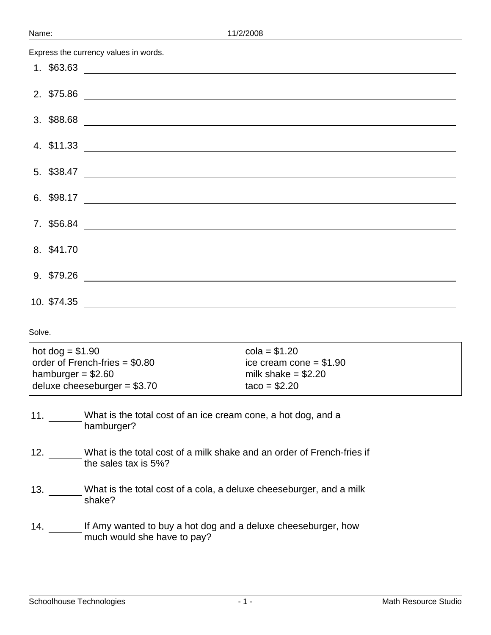Express the currency values in words.

|             | 8. \$41.70 |
|-------------|------------|
|             |            |
| 10. \$74.35 |            |

| $hot doq = $1.90$               | $cola = $1.20$           |
|---------------------------------|--------------------------|
| order of French-fries $= $0.80$ | ice cream cone $= $1.90$ |
| hamburger = $$2.60$             | milk shake $= $2.20$     |
| deluxe cheeseburger = $$3.70$   | $taco = $2.20$           |
|                                 |                          |

- 11. What is the total cost of an ice cream cone, a hot dog, and a hamburger?
- 12. What is the total cost of a milk shake and an order of French-fries if the sales tax is 5%?
- 13. What is the total cost of a cola, a deluxe cheeseburger, and a milk shake?
- 14. \_\_\_\_\_\_\_ If Amy wanted to buy a hot dog and a deluxe cheeseburger, how much would she have to pay?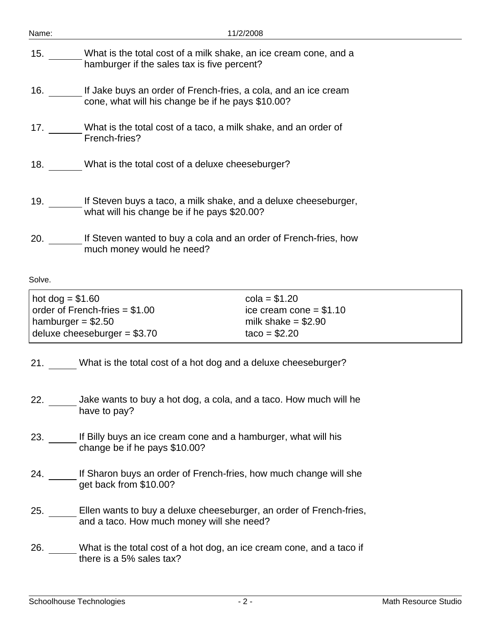| Name:             | 11/2/2008                                                                                                            |                          |  |  |
|-------------------|----------------------------------------------------------------------------------------------------------------------|--------------------------|--|--|
| 15.               | What is the total cost of a milk shake, an ice cream cone, and a<br>hamburger if the sales tax is five percent?      |                          |  |  |
| 16.               | If Jake buys an order of French-fries, a cola, and an ice cream<br>cone, what will his change be if he pays \$10.00? |                          |  |  |
|                   | 17. What is the total cost of a taco, a milk shake, and an order of<br>French-fries?                                 |                          |  |  |
|                   | 18. What is the total cost of a deluxe cheeseburger?                                                                 |                          |  |  |
|                   | 19. If Steven buys a taco, a milk shake, and a deluxe cheeseburger,<br>what will his change be if he pays \$20.00?   |                          |  |  |
|                   | 20. If Steven wanted to buy a cola and an order of French-fries, how<br>much money would he need?                    |                          |  |  |
| Solve.            |                                                                                                                      |                          |  |  |
| hot dog = $$1.60$ | $cola = $1.20$<br>order of French-fries $= $1.00$                                                                    | ice cream cone = $$1.10$ |  |  |

| hot dog $= $1.60$               | $cola = $1.20$           |
|---------------------------------|--------------------------|
| order of French-fries $= $1.00$ | ice cream cone $= $1.10$ |
| hamburger $= $2.50$             | milk shake $= $2.90$     |
| deluxe cheeseburger $= $3.70$   | $taco = $2.20$           |

21. What is the total cost of a hot dog and a deluxe cheeseburger?

- 22. \_\_\_\_\_\_\_ Jake wants to buy a hot dog, a cola, and a taco. How much will he have to pay?
- 23. If Billy buys an ice cream cone and a hamburger, what will his change be if he pays \$10.00?
- 24. If Sharon buys an order of French-fries, how much change will she get back from \$10.00?
- 25. Ellen wants to buy a deluxe cheeseburger, an order of French-fries, and a taco. How much money will she need?
- 26. What is the total cost of a hot dog, an ice cream cone, and a taco if there is a 5% sales tax?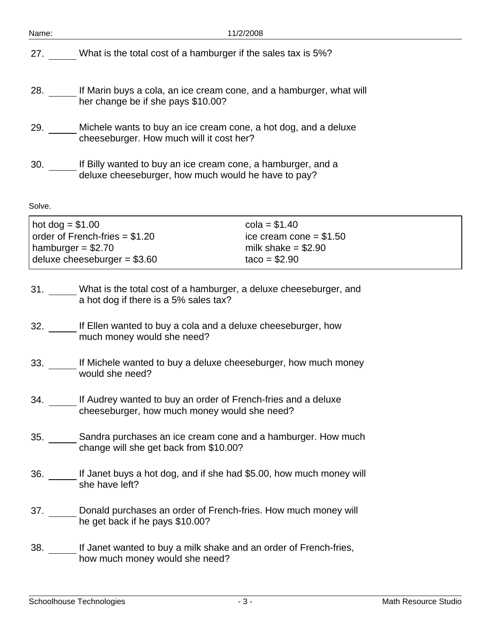| Name:                                                                                                                                             | 11/2/2008                                                                                                           |  |  |  |
|---------------------------------------------------------------------------------------------------------------------------------------------------|---------------------------------------------------------------------------------------------------------------------|--|--|--|
| 27.                                                                                                                                               | What is the total cost of a hamburger if the sales tax is 5%?                                                       |  |  |  |
| 28.                                                                                                                                               | If Marin buys a cola, an ice cream cone, and a hamburger, what will<br>her change be if she pays \$10.00?           |  |  |  |
| 29.                                                                                                                                               | Michele wants to buy an ice cream cone, a hot dog, and a deluxe<br>cheeseburger. How much will it cost her?         |  |  |  |
| 30.                                                                                                                                               | If Billy wanted to buy an ice cream cone, a hamburger, and a<br>deluxe cheeseburger, how much would he have to pay? |  |  |  |
| Solve.                                                                                                                                            |                                                                                                                     |  |  |  |
| $cola = $1.40$<br>hot dog = $$1.00$<br>order of French-fries $= $1.20$<br>ice cream cone $= $1.50$<br>hamburger = $$2.70$<br>milk shake $= $2.90$ |                                                                                                                     |  |  |  |

- 31. What is the total cost of a hamburger, a deluxe cheeseburger, and a hot dog if there is a 5% sales tax?
- 32. \_\_\_\_\_\_ If Ellen wanted to buy a cola and a deluxe cheeseburger, how much money would she need?

deluxe cheeseburger = \$3.60  $\qquad \qquad$  taco = \$2.90

- 33. If Michele wanted to buy a deluxe cheeseburger, how much money would she need?
- 34. If Audrey wanted to buy an order of French-fries and a deluxe cheeseburger, how much money would she need?
- 35. Sandra purchases an ice cream cone and a hamburger. How much change will she get back from \$10.00?
- 36. If Janet buys a hot dog, and if she had \$5.00, how much money will she have left?
- 37. Donald purchases an order of French-fries. How much money will he get back if he pays \$10.00?
- 38. If Janet wanted to buy a milk shake and an order of French-fries, how much money would she need?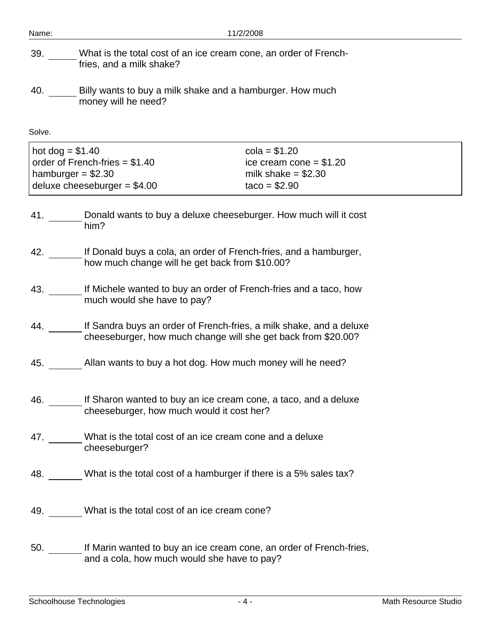| Name:                                    | 11/2/2008                                                                                                                                                |  |  |  |  |
|------------------------------------------|----------------------------------------------------------------------------------------------------------------------------------------------------------|--|--|--|--|
| 39.                                      | What is the total cost of an ice cream cone, an order of French-<br>fries, and a milk shake?                                                             |  |  |  |  |
| 40.                                      | Billy wants to buy a milk shake and a hamburger. How much<br>money will he need?                                                                         |  |  |  |  |
| Solve.                                   |                                                                                                                                                          |  |  |  |  |
| hot $dog = $1.40$<br>hamburger = $$2.30$ | $cola = $1.20$<br>order of French-fries $= $1.40$<br>ice cream cone = $$1.20$<br>milk shake $= $2.30$<br>deluxe cheeseburger = $$4.00$<br>$taco = $2.90$ |  |  |  |  |
| 41.                                      | Donald wants to buy a deluxe cheeseburger. How much will it cost<br>him?                                                                                 |  |  |  |  |
| 42.                                      | If Donald buys a cola, an order of French-fries, and a hamburger,<br>how much change will he get back from \$10.00?                                      |  |  |  |  |
| 43.                                      | If Michele wanted to buy an order of French-fries and a taco, how<br>much would she have to pay?                                                         |  |  |  |  |
| 44.                                      | If Sandra buys an order of French-fries, a milk shake, and a deluxe<br>cheeseburger, how much change will she get back from \$20.00?                     |  |  |  |  |
| 45.                                      | Allan wants to buy a hot dog. How much money will he need?                                                                                               |  |  |  |  |
|                                          | 46. If Sharon wanted to buy an ice cream cone, a taco, and a deluxe<br>cheeseburger, how much would it cost her?                                         |  |  |  |  |
|                                          | 47. What is the total cost of an ice cream cone and a deluxe<br>cheeseburger?                                                                            |  |  |  |  |
|                                          | 48. What is the total cost of a hamburger if there is a 5% sales tax?                                                                                    |  |  |  |  |
|                                          | 49. What is the total cost of an ice cream cone?                                                                                                         |  |  |  |  |
|                                          | 50. If Marin wanted to buy an ice cream cone, an order of French-fries,<br>and a cola, how much would she have to pay?                                   |  |  |  |  |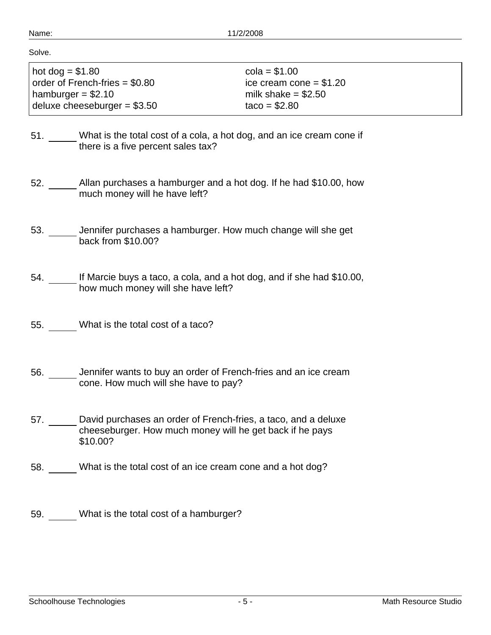| аr<br>N<br>I |
|--------------|
|--------------|

Solve.

| $hot dog = $1.80$               | $cola = $1.00$           |
|---------------------------------|--------------------------|
| order of French-fries $= $0.80$ | ice cream cone $= $1.20$ |
| hamburger = $$2.10$             | milk shake = $$2.50$     |
| deluxe cheeseburger = $$3.50$   | $taco = $2.80$           |

- 51. What is the total cost of a cola, a hot dog, and an ice cream cone if  $\overline{\phantom{a}}$  there is a five percent sales tax?
- 52. \_\_\_\_\_\_ Allan purchases a hamburger and a hot dog. If he had \$10.00, how much money will he have left?
- 53. \_\_\_\_\_\_ Jennifer purchases a hamburger. How much change will she get back from \$10.00?
- 54. If Marcie buys a taco, a cola, and a hot dog, and if she had \$10.00, how much money will she have left?
- 55. What is the total cost of a taco?
- 56. Jennifer wants to buy an order of French-fries and an ice cream cone. How much will she have to pay?
- 57. \_\_\_\_\_\_ David purchases an order of French-fries, a taco, and a deluxe cheeseburger. How much money will he get back if he pays \$10.00?
- 58. What is the total cost of an ice cream cone and a hot dog?

59. What is the total cost of a hamburger?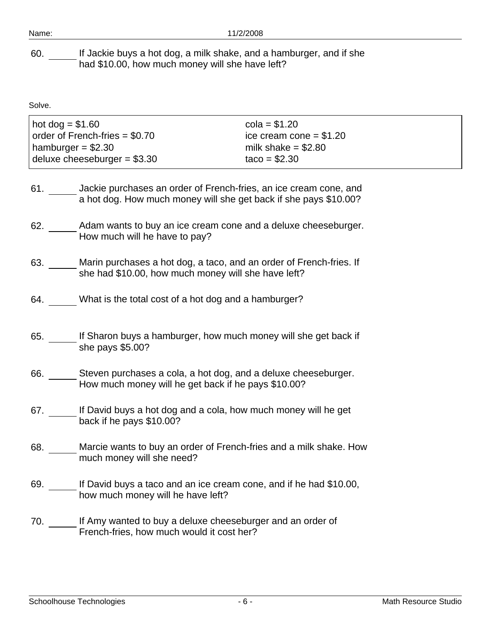60. If Jackie buys a hot dog, a milk shake, and a hamburger, and if she had \$10.00, how much money will she have left?

| $hot dog = $1.60$                      | $cola = $1.20$           |
|----------------------------------------|--------------------------|
| $\vert$ order of French-fries = \$0.70 | ice cream cone $= $1.20$ |
| hamburger = $$2.30$                    | milk shake $= $2.80$     |
| deluxe cheeseburger $= $3.30$          | $taco = $2.30$           |

- 61. \_\_\_\_\_\_ Jackie purchases an order of French-fries, an ice cream cone, and a hot dog. How much money will she get back if she pays \$10.00?
- 62. Adam wants to buy an ice cream cone and a deluxe cheeseburger. How much will he have to pay?
- 63. Marin purchases a hot dog, a taco, and an order of French-fries. If she had \$10.00, how much money will she have left?
- 64. What is the total cost of a hot dog and a hamburger?
- 65. If Sharon buys a hamburger, how much money will she get back if she pays \$5.00?
- 66. Steven purchases a cola, a hot dog, and a deluxe cheeseburger. How much money will he get back if he pays \$10.00?
- 67. If David buys a hot dog and a cola, how much money will he get back if he pays \$10.00?
- 68. Marcie wants to buy an order of French-fries and a milk shake. How much money will she need?
- 69. If David buys a taco and an ice cream cone, and if he had \$10.00, how much money will he have left?
- 70. If Amy wanted to buy a deluxe cheeseburger and an order of French-fries, how much would it cost her?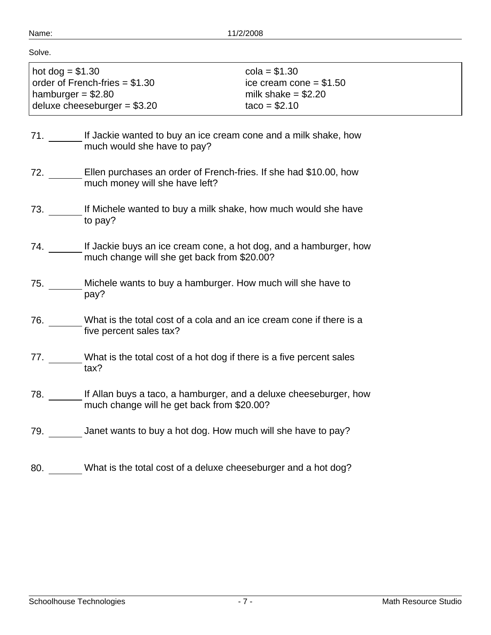| hot dog = $$1.30$<br>order of French-fries $= $1.30$ | $cola = $1.30$<br>ice cream cone $= $1.50$ |
|------------------------------------------------------|--------------------------------------------|
| hamburger = $$2.80$                                  | milk shake $= $2.20$                       |
| deluxe cheeseburger = $$3.20$                        | $taco = $2.10$                             |

- 71. \_\_\_\_\_\_\_ If Jackie wanted to buy an ice cream cone and a milk shake, how much would she have to pay?
- 72. \_\_\_\_\_\_ Ellen purchases an order of French-fries. If she had \$10.00, how much money will she have left?
- 73. If Michele wanted to buy a milk shake, how much would she have to pay?
- 74. \_\_\_\_\_\_\_ If Jackie buys an ice cream cone, a hot dog, and a hamburger, how much change will she get back from \$20.00?
- 75. Michele wants to buy a hamburger. How much will she have to pay?
- 76. What is the total cost of a cola and an ice cream cone if there is a five percent sales tax?
- 77. What is the total cost of a hot dog if there is a five percent sales tax?
- 78. If Allan buys a taco, a hamburger, and a deluxe cheeseburger, how much change will he get back from \$20.00?
- 79. Janet wants to buy a hot dog. How much will she have to pay?
- 80. What is the total cost of a deluxe cheeseburger and a hot dog?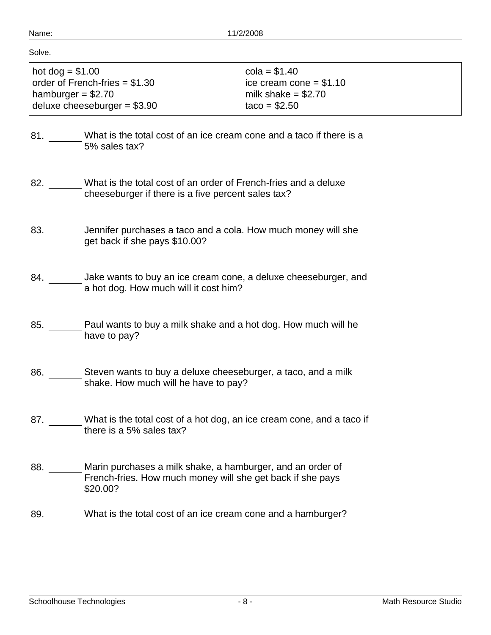|         | п |  |  |  |
|---------|---|--|--|--|
| ×<br>۰. |   |  |  |  |
|         |   |  |  |  |

| $hot$ dog = \$1.00              | $cola = $1.40$           |
|---------------------------------|--------------------------|
| order of French-fries $= $1.30$ | ice cream cone $= $1.10$ |
| hamburger = $$2.70$             | milk shake $= $2.70$     |
| deluxe cheeseburger = $$3.90$   | $taco = $2.50$           |

- 81. What is the total cost of an ice cream cone and a taco if there is a 5% sales tax?
- 82. What is the total cost of an order of French-fries and a deluxe cheeseburger if there is a five percent sales tax?
- 83. \_\_\_\_\_\_\_ Jennifer purchases a taco and a cola. How much money will she get back if she pays \$10.00?
- 84. \_\_\_\_\_\_\_ Jake wants to buy an ice cream cone, a deluxe cheeseburger, and a hot dog. How much will it cost him?
- 85. Paul wants to buy a milk shake and a hot dog. How much will he have to pay?
- 86. Steven wants to buy a deluxe cheeseburger, a taco, and a milk shake. How much will he have to pay?
- 87. What is the total cost of a hot dog, an ice cream cone, and a taco if there is a 5% sales tax?
- 88. Marin purchases a milk shake, a hamburger, and an order of French-fries. How much money will she get back if she pays \$20.00?
- 89. What is the total cost of an ice cream cone and a hamburger?